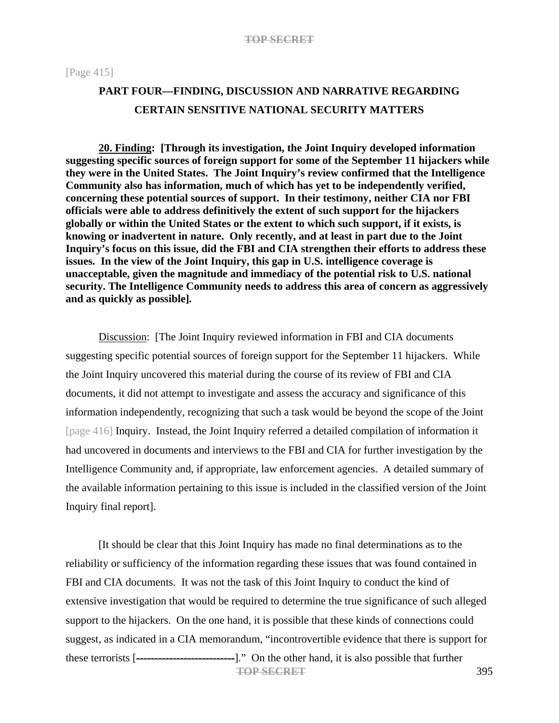[Page 415]

# **PART FOUR—FINDING, DISCUSSION AND NARRATIVE REGARDING CERTAIN SENSITIVE NATIONAL SECURITY MATTERS**

**20. Finding: [Through its investigation, the Joint Inquiry developed information suggesting specific sources of foreign support for some of the September 11 hijackers while they were in the United States. The Joint Inquiry's review confirmed that the Intelligence Community also has information, much of which has yet to be independently verified, concerning these potential sources of support. In their testimony, neither CIA nor FBI officials were able to address definitively the extent of such support for the hijackers globally or within the United States or the extent to which such support, if it exists, is knowing or inadvertent in nature. Only recently, and at least in part due to the Joint Inquiry's focus on this issue, did the FBI and CIA strengthen their efforts to address these issues. In the view of the Joint Inquiry, this gap in U.S. intelligence coverage is unacceptable, given the magnitude and immediacy of the potential risk to U.S. national security. The Intelligence Community needs to address this area of concern as aggressively and as quickly as possible]***.*

Discussion: [The Joint Inquiry reviewed information in FBI and CIA documents suggesting specific potential sources of foreign support for the September 11 hijackers. While the Joint Inquiry uncovered this material during the course of its review of FBI and CIA documents, it did not attempt to investigate and assess the accuracy and significance of this information independently, recognizing that such a task would be beyond the scope of the Joint [page 416] Inquiry. Instead, the Joint Inquiry referred a detailed compilation of information it had uncovered in documents and interviews to the FBI and CIA for further investigation by the Intelligence Community and, if appropriate, law enforcement agencies. A detailed summary of the available information pertaining to this issue is included in the classified version of the Joint Inquiry final report].

[It should be clear that this Joint Inquiry has made no final determinations as to the reliability or sufficiency of the information regarding these issues that was found contained in FBI and CIA documents. It was not the task of this Joint Inquiry to conduct the kind of extensive investigation that would be required to determine the true significance of such alleged support to the hijackers. On the one hand, it is possible that these kinds of connections could suggest, as indicated in a CIA memorandum, "incontrovertible evidence that there is support for these terrorists [----------------------------------]." On the other hand, it is also possible that further **TOP SECRET** 395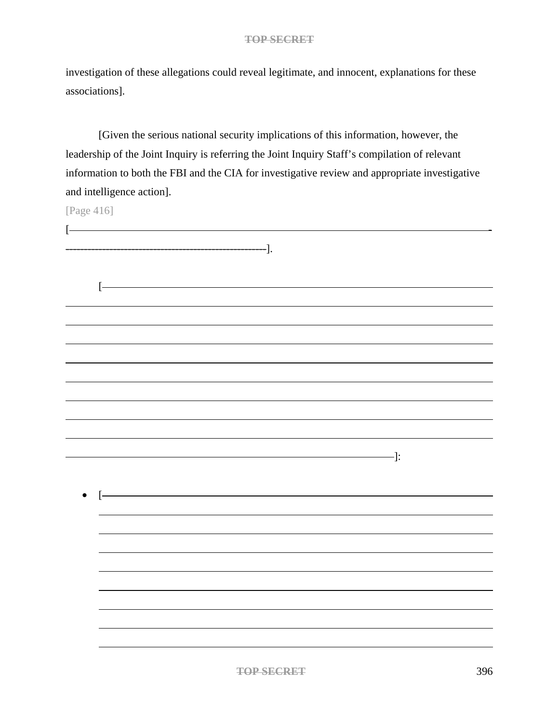investigation of these allegations could reveal legitimate, and innocent, explanations for these associations].

[Given the serious national security implications of this information, however, the leadership of the Joint Inquiry is referring the Joint Inquiry Staff's compilation of relevant information to both the FBI and the CIA for investigative review and appropriate investigative and intelligence action].

[Page 416]

| $\left[ \cdot \right]$ |       |                  |                                                                                                                                                                                                                                                                                                                                                   |
|------------------------|-------|------------------|---------------------------------------------------------------------------------------------------------------------------------------------------------------------------------------------------------------------------------------------------------------------------------------------------------------------------------------------------|
|                        |       |                  |                                                                                                                                                                                                                                                                                                                                                   |
|                        |       | $-\frac{1}{2}$ . |                                                                                                                                                                                                                                                                                                                                                   |
|                        |       |                  |                                                                                                                                                                                                                                                                                                                                                   |
|                        |       |                  |                                                                                                                                                                                                                                                                                                                                                   |
|                        |       |                  |                                                                                                                                                                                                                                                                                                                                                   |
|                        | $[ -$ |                  |                                                                                                                                                                                                                                                                                                                                                   |
|                        |       |                  |                                                                                                                                                                                                                                                                                                                                                   |
|                        |       |                  |                                                                                                                                                                                                                                                                                                                                                   |
|                        |       |                  |                                                                                                                                                                                                                                                                                                                                                   |
|                        |       |                  |                                                                                                                                                                                                                                                                                                                                                   |
|                        |       |                  |                                                                                                                                                                                                                                                                                                                                                   |
|                        |       |                  |                                                                                                                                                                                                                                                                                                                                                   |
|                        |       |                  |                                                                                                                                                                                                                                                                                                                                                   |
|                        |       |                  |                                                                                                                                                                                                                                                                                                                                                   |
|                        |       |                  |                                                                                                                                                                                                                                                                                                                                                   |
|                        |       |                  |                                                                                                                                                                                                                                                                                                                                                   |
|                        |       |                  |                                                                                                                                                                                                                                                                                                                                                   |
|                        |       |                  |                                                                                                                                                                                                                                                                                                                                                   |
|                        |       |                  |                                                                                                                                                                                                                                                                                                                                                   |
|                        |       |                  |                                                                                                                                                                                                                                                                                                                                                   |
|                        |       |                  |                                                                                                                                                                                                                                                                                                                                                   |
|                        |       |                  | $\qquad \qquad \qquad$ $\qquad$ $\qquad$ $\qquad$ $\qquad$ $\qquad$ $\qquad$ $\qquad$ $\qquad$ $\qquad$ $\qquad$ $\qquad$ $\qquad$ $\qquad$ $\qquad$ $\qquad$ $\qquad$ $\qquad$ $\qquad$ $\qquad$ $\qquad$ $\qquad$ $\qquad$ $\qquad$ $\qquad$ $\qquad$ $\qquad$ $\qquad$ $\qquad$ $\qquad$ $\qquad$ $\qquad$ $\qquad$ $\qquad$ $\qquad$ $\qquad$ |
|                        |       |                  |                                                                                                                                                                                                                                                                                                                                                   |
|                        |       |                  |                                                                                                                                                                                                                                                                                                                                                   |
| $\bullet$              |       |                  |                                                                                                                                                                                                                                                                                                                                                   |
|                        | $[-$  |                  |                                                                                                                                                                                                                                                                                                                                                   |
|                        |       |                  |                                                                                                                                                                                                                                                                                                                                                   |
|                        |       |                  |                                                                                                                                                                                                                                                                                                                                                   |
|                        |       |                  |                                                                                                                                                                                                                                                                                                                                                   |
|                        |       |                  |                                                                                                                                                                                                                                                                                                                                                   |
|                        |       |                  |                                                                                                                                                                                                                                                                                                                                                   |
|                        |       |                  |                                                                                                                                                                                                                                                                                                                                                   |
|                        |       |                  |                                                                                                                                                                                                                                                                                                                                                   |
|                        |       |                  |                                                                                                                                                                                                                                                                                                                                                   |
|                        |       |                  |                                                                                                                                                                                                                                                                                                                                                   |
|                        |       |                  |                                                                                                                                                                                                                                                                                                                                                   |
|                        |       |                  |                                                                                                                                                                                                                                                                                                                                                   |
|                        |       |                  |                                                                                                                                                                                                                                                                                                                                                   |
|                        |       |                  |                                                                                                                                                                                                                                                                                                                                                   |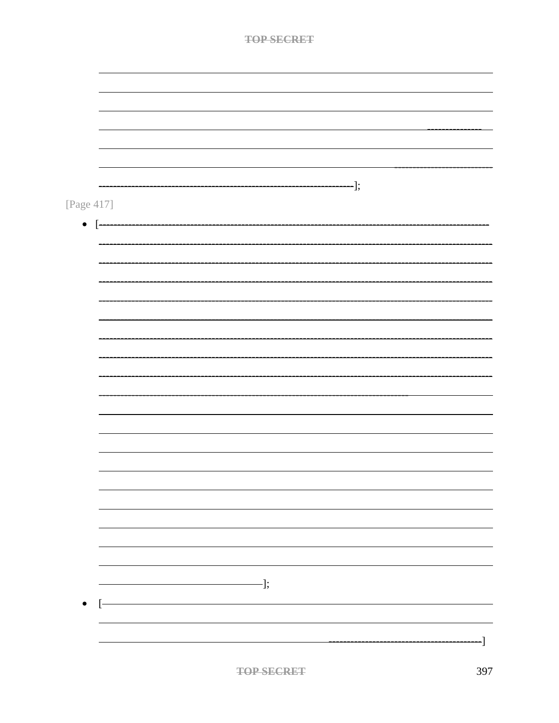| TAD SEADET |
|------------|
|            |

|              |                      | $\lnot$ ]; |  |
|--------------|----------------------|------------|--|
| [Page 417]   |                      |            |  |
|              |                      |            |  |
| $\bullet$ [- |                      |            |  |
|              |                      |            |  |
|              |                      |            |  |
|              |                      |            |  |
|              |                      |            |  |
|              |                      |            |  |
|              |                      |            |  |
|              |                      |            |  |
|              |                      |            |  |
|              |                      |            |  |
|              |                      |            |  |
|              |                      |            |  |
|              |                      |            |  |
|              |                      |            |  |
|              |                      |            |  |
|              |                      |            |  |
|              |                      |            |  |
|              |                      |            |  |
|              |                      |            |  |
|              |                      |            |  |
|              |                      |            |  |
|              |                      |            |  |
|              |                      |            |  |
|              |                      |            |  |
|              |                      |            |  |
|              |                      |            |  |
|              |                      |            |  |
|              | $\frac{1}{\sqrt{2}}$ |            |  |
|              |                      |            |  |
| $[-]$        |                      |            |  |
|              |                      |            |  |
|              |                      |            |  |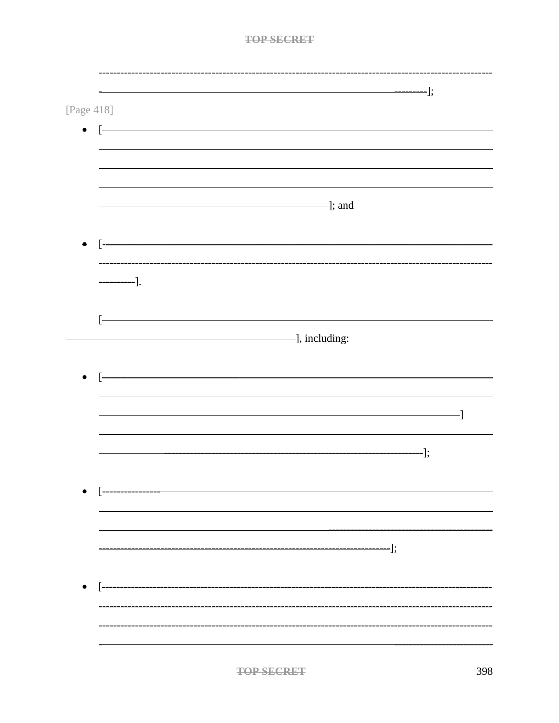| [Page 418]            |                                                      |     |
|-----------------------|------------------------------------------------------|-----|
| $\Gamma$<br>$\bullet$ |                                                      |     |
|                       |                                                      |     |
|                       |                                                      |     |
|                       |                                                      |     |
|                       | $\Box$ and $\Box$                                    |     |
|                       |                                                      |     |
|                       |                                                      |     |
| $\longrightarrow$ ].  |                                                      |     |
|                       |                                                      |     |
|                       | <u> 1989 - Johann Barn, fransk politik (d. 1989)</u> |     |
|                       |                                                      |     |
|                       |                                                      |     |
|                       |                                                      |     |
|                       |                                                      |     |
|                       |                                                      | ]   |
|                       |                                                      |     |
|                       | $\qquad \qquad \longrightarrow$ ];                   |     |
|                       |                                                      |     |
|                       |                                                      |     |
|                       |                                                      |     |
|                       |                                                      |     |
|                       | ———————————];                                        |     |
|                       |                                                      |     |
|                       |                                                      |     |
|                       |                                                      |     |
|                       |                                                      |     |
|                       |                                                      |     |
|                       | <b>TOP SECRET</b>                                    | 398 |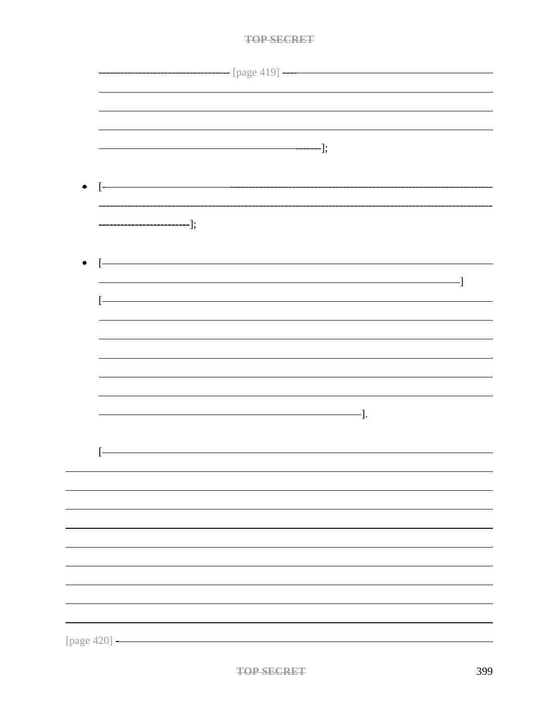|              |                                                                                                                           | <u>__________________</u> [page 419] ——  |    |
|--------------|---------------------------------------------------------------------------------------------------------------------------|------------------------------------------|----|
|              |                                                                                                                           |                                          |    |
|              |                                                                                                                           |                                          |    |
|              | $\begin{aligned} \hspace{2.6cm} \textcolor{blue}{\textbf{---}} \end{aligned} \hspace{.5cm}];$                             |                                          |    |
|              |                                                                                                                           |                                          |    |
|              | - L-                                                                                                                      |                                          |    |
|              | ___________________                                                                                                       |                                          |    |
|              | $\qquad \qquad \qquad \qquad \qquad \qquad \qquad \qquad \qquad \qquad \vdots$                                            |                                          |    |
| $\bullet$    | <u> 1989 - Johann Barn, mars ann an t-Amhain Aonaich an t-Aonaich an t-Aonaich ann an t-Aonaich ann an t-Aonaich</u><br>ŀ |                                          |    |
|              |                                                                                                                           |                                          | -] |
|              | ŀ                                                                                                                         |                                          |    |
|              |                                                                                                                           |                                          |    |
|              |                                                                                                                           |                                          |    |
|              |                                                                                                                           |                                          |    |
|              |                                                                                                                           |                                          |    |
|              |                                                                                                                           | $\overline{\phantom{iiiiiiiiiiiiiiiii}}$ |    |
|              |                                                                                                                           |                                          |    |
|              |                                                                                                                           |                                          |    |
|              |                                                                                                                           |                                          |    |
|              |                                                                                                                           |                                          |    |
|              |                                                                                                                           |                                          |    |
|              |                                                                                                                           |                                          |    |
|              |                                                                                                                           |                                          |    |
|              |                                                                                                                           |                                          |    |
|              |                                                                                                                           |                                          |    |
| [page 420] - |                                                                                                                           |                                          |    |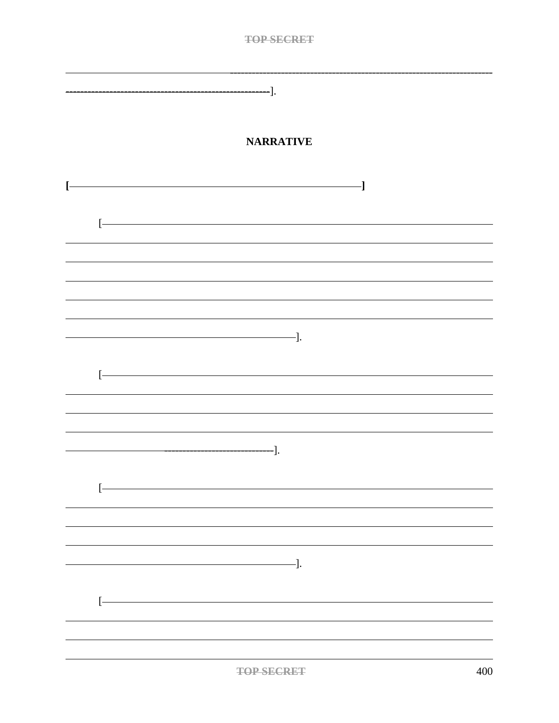| ——].                                      |     |
|-------------------------------------------|-----|
| <b>NARRATIVE</b>                          |     |
|                                           |     |
| ·l<br>Ľ                                   |     |
|                                           |     |
| Ŀ                                         |     |
|                                           |     |
|                                           |     |
|                                           |     |
|                                           |     |
|                                           |     |
|                                           |     |
| $\overline{\phantom{a}}$ .                |     |
|                                           |     |
| ŀ                                         |     |
|                                           |     |
|                                           |     |
|                                           |     |
| -].                                       |     |
|                                           |     |
| Ľ                                         |     |
|                                           |     |
|                                           |     |
|                                           |     |
| $\overline{\phantom{iiiiiiiiiiiiiii}}$ ]. |     |
|                                           |     |
| Ŀ                                         |     |
|                                           |     |
|                                           |     |
|                                           |     |
| <b>TOP SECRET</b>                         | 400 |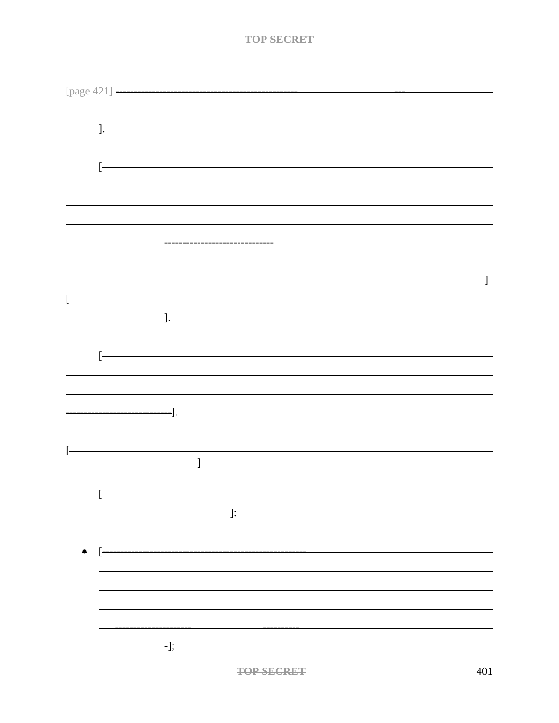| $\longrightarrow$ ]. |                                                                                                                                                                                                                                                                                                                                                                                                                                               |
|----------------------|-----------------------------------------------------------------------------------------------------------------------------------------------------------------------------------------------------------------------------------------------------------------------------------------------------------------------------------------------------------------------------------------------------------------------------------------------|
|                      |                                                                                                                                                                                                                                                                                                                                                                                                                                               |
|                      | ŀ                                                                                                                                                                                                                                                                                                                                                                                                                                             |
|                      |                                                                                                                                                                                                                                                                                                                                                                                                                                               |
|                      |                                                                                                                                                                                                                                                                                                                                                                                                                                               |
|                      |                                                                                                                                                                                                                                                                                                                                                                                                                                               |
|                      |                                                                                                                                                                                                                                                                                                                                                                                                                                               |
|                      |                                                                                                                                                                                                                                                                                                                                                                                                                                               |
|                      | -]                                                                                                                                                                                                                                                                                                                                                                                                                                            |
| Ŀ                    |                                                                                                                                                                                                                                                                                                                                                                                                                                               |
|                      | -].                                                                                                                                                                                                                                                                                                                                                                                                                                           |
|                      |                                                                                                                                                                                                                                                                                                                                                                                                                                               |
|                      | ŀ                                                                                                                                                                                                                                                                                                                                                                                                                                             |
|                      |                                                                                                                                                                                                                                                                                                                                                                                                                                               |
|                      |                                                                                                                                                                                                                                                                                                                                                                                                                                               |
|                      | ·].                                                                                                                                                                                                                                                                                                                                                                                                                                           |
|                      |                                                                                                                                                                                                                                                                                                                                                                                                                                               |
|                      |                                                                                                                                                                                                                                                                                                                                                                                                                                               |
|                      | J                                                                                                                                                                                                                                                                                                                                                                                                                                             |
|                      |                                                                                                                                                                                                                                                                                                                                                                                                                                               |
|                      | $\left[ \cdot \right] % \centering \includegraphics[width=0.8\textwidth]{images/TrDiM-Architecture.png} % \caption{The first two different values of $A$ with the same time. The second two different values of $A$ is the same time.} \label{TrDiM-Architecture} %$                                                                                                                                                                          |
|                      | $\qquad \qquad \qquad \qquad \qquad \qquad \qquad \qquad \qquad \qquad \vdots$                                                                                                                                                                                                                                                                                                                                                                |
|                      |                                                                                                                                                                                                                                                                                                                                                                                                                                               |
| $\bullet$            | $\lceil$ -                                                                                                                                                                                                                                                                                                                                                                                                                                    |
|                      |                                                                                                                                                                                                                                                                                                                                                                                                                                               |
|                      |                                                                                                                                                                                                                                                                                                                                                                                                                                               |
|                      |                                                                                                                                                                                                                                                                                                                                                                                                                                               |
|                      |                                                                                                                                                                                                                                                                                                                                                                                                                                               |
|                      | $\overline{\phantom{1}}$ = $\overline{\phantom{1}}$ = $\overline{\phantom{1}}$ = $\overline{\phantom{1}}$ = $\overline{\phantom{1}}$ = $\overline{\phantom{1}}$ = $\overline{\phantom{1}}$ = $\overline{\phantom{1}}$ = $\overline{\phantom{1}}$ = $\overline{\phantom{1}}$ = $\overline{\phantom{1}}$ = $\overline{\phantom{1}}$ = $\overline{\phantom{1}}$ = $\overline{\phantom{1}}$ = $\overline{\phantom{1}}$ = $\overline{\phantom{1}}$ |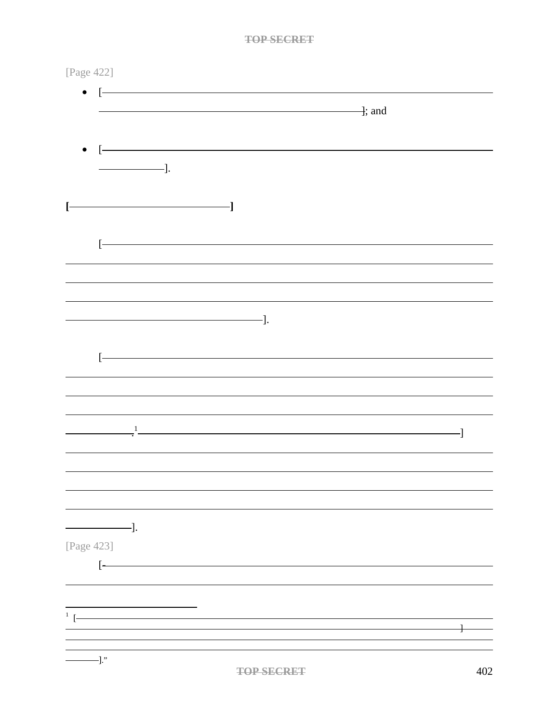| [Page 422]                                                                                                                                                                                                                                                                                                                                                                                                                                    |   |
|-----------------------------------------------------------------------------------------------------------------------------------------------------------------------------------------------------------------------------------------------------------------------------------------------------------------------------------------------------------------------------------------------------------------------------------------------|---|
| $\bullet$<br>$\lfloor$<br>$\overline{\phantom{a}}$ ; and                                                                                                                                                                                                                                                                                                                                                                                      |   |
|                                                                                                                                                                                                                                                                                                                                                                                                                                               |   |
| <u> 1989 - Johann Barn, mars an t-Amerikaansk kommunister (</u><br>$\vdash$                                                                                                                                                                                                                                                                                                                                                                   |   |
| $\overline{\phantom{iiiiiiiiiiiiiiiii}}$                                                                                                                                                                                                                                                                                                                                                                                                      |   |
|                                                                                                                                                                                                                                                                                                                                                                                                                                               |   |
|                                                                                                                                                                                                                                                                                                                                                                                                                                               |   |
| ŀ                                                                                                                                                                                                                                                                                                                                                                                                                                             |   |
|                                                                                                                                                                                                                                                                                                                                                                                                                                               |   |
|                                                                                                                                                                                                                                                                                                                                                                                                                                               |   |
|                                                                                                                                                                                                                                                                                                                                                                                                                                               |   |
|                                                                                                                                                                                                                                                                                                                                                                                                                                               |   |
|                                                                                                                                                                                                                                                                                                                                                                                                                                               |   |
|                                                                                                                                                                                                                                                                                                                                                                                                                                               |   |
| $\frac{1}{2}$                                                                                                                                                                                                                                                                                                                                                                                                                                 |   |
|                                                                                                                                                                                                                                                                                                                                                                                                                                               |   |
|                                                                                                                                                                                                                                                                                                                                                                                                                                               |   |
|                                                                                                                                                                                                                                                                                                                                                                                                                                               |   |
| $\frac{1}{\sqrt{1-\frac{1}{2}}}\cdot\frac{1}{\sqrt{1-\frac{1}{2}}}\cdot\frac{1}{\sqrt{1-\frac{1}{2}}}\cdot\frac{1}{\sqrt{1-\frac{1}{2}}}\cdot\frac{1}{\sqrt{1-\frac{1}{2}}}\cdot\frac{1}{\sqrt{1-\frac{1}{2}}}\cdot\frac{1}{\sqrt{1-\frac{1}{2}}}\cdot\frac{1}{\sqrt{1-\frac{1}{2}}}\cdot\frac{1}{\sqrt{1-\frac{1}{2}}}\cdot\frac{1}{\sqrt{1-\frac{1}{2}}}\cdot\frac{1}{\sqrt{1-\frac{1}{2}}}\cdot\frac{1}{\sqrt{1-\frac{1}{2}}}\cdot\frac{1$ |   |
| [Page 423]                                                                                                                                                                                                                                                                                                                                                                                                                                    |   |
| $\overline{[}$                                                                                                                                                                                                                                                                                                                                                                                                                                |   |
|                                                                                                                                                                                                                                                                                                                                                                                                                                               |   |
| $\frac{1}{\sqrt{2}}$                                                                                                                                                                                                                                                                                                                                                                                                                          |   |
|                                                                                                                                                                                                                                                                                                                                                                                                                                               | ╂ |
| $-$ ]."                                                                                                                                                                                                                                                                                                                                                                                                                                       |   |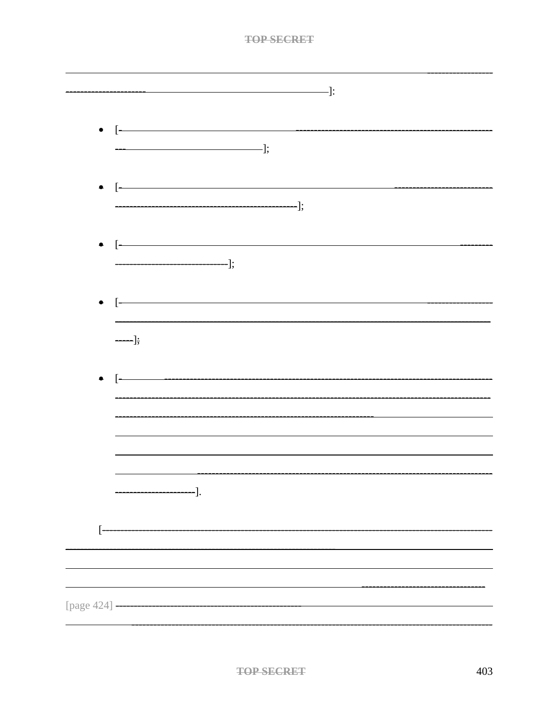|                                                                                                                                                                                                                                                                                                                                                                                                                                               | $\qquad \qquad \qquad$ $\qquad \qquad$ $\qquad$ $\qquad$ $\qquad$ $\qquad$ $\qquad$ $\qquad$ $\qquad$ $\qquad$ $\qquad$ $\qquad$ $\qquad$ $\qquad$ $\qquad$ $\qquad$ $\qquad$ $\qquad$ $\qquad$ $\qquad$ $\qquad$ $\qquad$ $\qquad$ $\qquad$ $\qquad$ $\qquad$ $\qquad$ $\qquad$ $\qquad$ $\qquad$ $\qquad$ $\qquad$ $\qquad$ $\qquad$ $\qquad$ $\$                              |  |
|-----------------------------------------------------------------------------------------------------------------------------------------------------------------------------------------------------------------------------------------------------------------------------------------------------------------------------------------------------------------------------------------------------------------------------------------------|----------------------------------------------------------------------------------------------------------------------------------------------------------------------------------------------------------------------------------------------------------------------------------------------------------------------------------------------------------------------------------|--|
|                                                                                                                                                                                                                                                                                                                                                                                                                                               |                                                                                                                                                                                                                                                                                                                                                                                  |  |
| $\overline{\phantom{a}}$ = $\overline{\phantom{a}}$ = $\overline{\phantom{a}}$ = $\overline{\phantom{a}}$ = $\overline{\phantom{a}}$ = $\overline{\phantom{a}}$ = $\overline{\phantom{a}}$ = $\overline{\phantom{a}}$ = $\overline{\phantom{a}}$ = $\overline{\phantom{a}}$ = $\overline{\phantom{a}}$ = $\overline{\phantom{a}}$ = $\overline{\phantom{a}}$ = $\overline{\phantom{a}}$ = $\overline{\phantom{a}}$ = $\overline{\phantom{a}}$ |                                                                                                                                                                                                                                                                                                                                                                                  |  |
|                                                                                                                                                                                                                                                                                                                                                                                                                                               |                                                                                                                                                                                                                                                                                                                                                                                  |  |
|                                                                                                                                                                                                                                                                                                                                                                                                                                               | $\bullet \quad \boxed{\hspace{2cm} \rule{2.2cm}{0.15mm} \hspace{2.15mm} }$                                                                                                                                                                                                                                                                                                       |  |
|                                                                                                                                                                                                                                                                                                                                                                                                                                               |                                                                                                                                                                                                                                                                                                                                                                                  |  |
|                                                                                                                                                                                                                                                                                                                                                                                                                                               | $\bullet \quad \boxed{\begin{picture}(20,10) \put(0,0){\dashbox{0.5}(10,0){ }} \put(15,0){\dashbox{0.5}(10,0){ }} \put(15,0){\dashbox{0.5}(10,0){ }} \put(15,0){\dashbox{0.5}(10,0){ }} \put(15,0){\dashbox{0.5}(10,0){ }} \put(15,0){\dashbox{0.5}(10,0){ }} \put(15,0){\dashbox{0.5}(10,0){ }} \put(15,0){\dashbox{0.5}(10,0){ }} \put(15,0){\dashbox{0.5}(10,0){ }} \put(15,$ |  |
|                                                                                                                                                                                                                                                                                                                                                                                                                                               |                                                                                                                                                                                                                                                                                                                                                                                  |  |
|                                                                                                                                                                                                                                                                                                                                                                                                                                               | $\begin{tabular}{c} \bf 4 & \begin{tabular}{ c c c c } \cline{1-5} \quad \quad & \quad \quad & \quad \quad & \quad \quad \\ \cline{1-5} \quad \quad & \quad \quad & \quad \quad & \quad \quad \\ \cline{1-5} \end{tabular} \end{tabular} \end{tabular}$                                                                                                                          |  |
| $\frac{1}{\sqrt{1-\frac{1}{2}}}$                                                                                                                                                                                                                                                                                                                                                                                                              |                                                                                                                                                                                                                                                                                                                                                                                  |  |
| $\bullet \quad \boxed{\hspace{1.5cm}}$                                                                                                                                                                                                                                                                                                                                                                                                        |                                                                                                                                                                                                                                                                                                                                                                                  |  |
|                                                                                                                                                                                                                                                                                                                                                                                                                                               |                                                                                                                                                                                                                                                                                                                                                                                  |  |
|                                                                                                                                                                                                                                                                                                                                                                                                                                               |                                                                                                                                                                                                                                                                                                                                                                                  |  |
|                                                                                                                                                                                                                                                                                                                                                                                                                                               |                                                                                                                                                                                                                                                                                                                                                                                  |  |
| -].                                                                                                                                                                                                                                                                                                                                                                                                                                           |                                                                                                                                                                                                                                                                                                                                                                                  |  |
|                                                                                                                                                                                                                                                                                                                                                                                                                                               |                                                                                                                                                                                                                                                                                                                                                                                  |  |
| F                                                                                                                                                                                                                                                                                                                                                                                                                                             |                                                                                                                                                                                                                                                                                                                                                                                  |  |
|                                                                                                                                                                                                                                                                                                                                                                                                                                               |                                                                                                                                                                                                                                                                                                                                                                                  |  |
|                                                                                                                                                                                                                                                                                                                                                                                                                                               |                                                                                                                                                                                                                                                                                                                                                                                  |  |
|                                                                                                                                                                                                                                                                                                                                                                                                                                               |                                                                                                                                                                                                                                                                                                                                                                                  |  |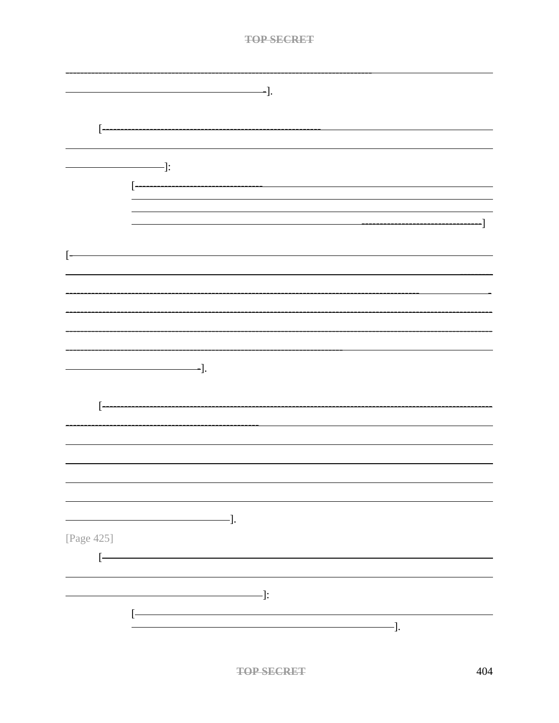|                   | $\overline{\phantom{a}}$ .                                                 |
|-------------------|----------------------------------------------------------------------------|
| $\boxed{-}$       |                                                                            |
|                   |                                                                            |
|                   | $\overline{\phantom{a}}$ :<br>[ <del>-------------------------------</del> |
|                   |                                                                            |
| $\left[ -\right]$ |                                                                            |
|                   |                                                                            |
|                   |                                                                            |
|                   |                                                                            |
|                   | $\overline{\phantom{a}}$ .                                                 |
|                   |                                                                            |
|                   |                                                                            |
|                   |                                                                            |
|                   | $-$ ].                                                                     |
| [Page 425]        |                                                                            |
|                   | $-\qquad \qquad \blacksquare$                                              |
|                   | -].                                                                        |
|                   |                                                                            |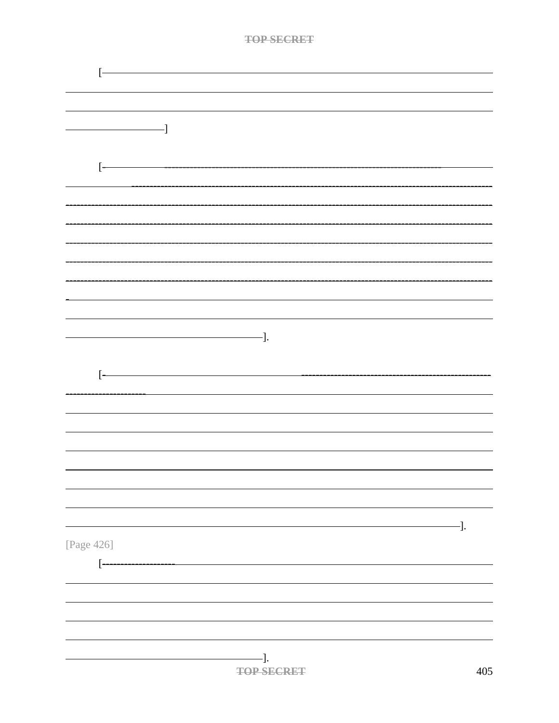|            | <b>TOP SECRET</b>                      |     |
|------------|----------------------------------------|-----|
|            |                                        |     |
| ŀ          |                                        |     |
|            |                                        |     |
|            |                                        |     |
| -1         |                                        |     |
|            |                                        |     |
| $\Gamma$   |                                        |     |
|            |                                        |     |
|            |                                        |     |
|            |                                        |     |
|            |                                        |     |
|            |                                        |     |
|            |                                        |     |
|            |                                        |     |
|            |                                        |     |
|            |                                        |     |
|            | $\overline{\phantom{iiiiiiiiiiiiiii}}$ |     |
|            |                                        |     |
|            |                                        |     |
| $\lbrack$  |                                        |     |
|            |                                        |     |
|            |                                        |     |
|            |                                        |     |
|            |                                        |     |
|            |                                        |     |
|            |                                        |     |
|            |                                        |     |
|            |                                        | -]. |
| [Page 426] |                                        |     |
|            |                                        |     |
| $[$        |                                        |     |
|            |                                        |     |
|            |                                        |     |
|            |                                        |     |
|            |                                        |     |
|            | $-$ ].                                 |     |
|            | <b>TOP SECRET</b>                      | 405 |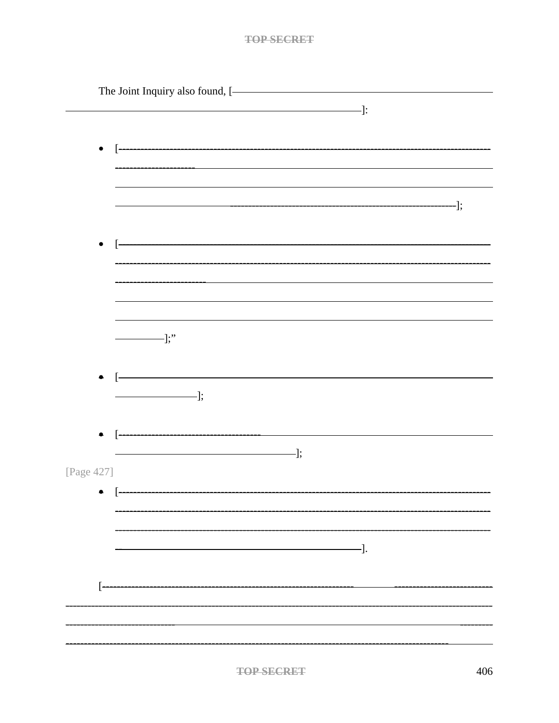|            | The Joint Inquiry also found, [-                                                                                                                                                                                                                                                                                                                                                                                                                                                |  |
|------------|---------------------------------------------------------------------------------------------------------------------------------------------------------------------------------------------------------------------------------------------------------------------------------------------------------------------------------------------------------------------------------------------------------------------------------------------------------------------------------|--|
|            |                                                                                                                                                                                                                                                                                                                                                                                                                                                                                 |  |
|            |                                                                                                                                                                                                                                                                                                                                                                                                                                                                                 |  |
|            |                                                                                                                                                                                                                                                                                                                                                                                                                                                                                 |  |
|            |                                                                                                                                                                                                                                                                                                                                                                                                                                                                                 |  |
| $\bullet$  |                                                                                                                                                                                                                                                                                                                                                                                                                                                                                 |  |
|            |                                                                                                                                                                                                                                                                                                                                                                                                                                                                                 |  |
|            |                                                                                                                                                                                                                                                                                                                                                                                                                                                                                 |  |
|            |                                                                                                                                                                                                                                                                                                                                                                                                                                                                                 |  |
|            |                                                                                                                                                                                                                                                                                                                                                                                                                                                                                 |  |
|            |                                                                                                                                                                                                                                                                                                                                                                                                                                                                                 |  |
|            |                                                                                                                                                                                                                                                                                                                                                                                                                                                                                 |  |
| $\bullet$  |                                                                                                                                                                                                                                                                                                                                                                                                                                                                                 |  |
|            |                                                                                                                                                                                                                                                                                                                                                                                                                                                                                 |  |
|            |                                                                                                                                                                                                                                                                                                                                                                                                                                                                                 |  |
|            |                                                                                                                                                                                                                                                                                                                                                                                                                                                                                 |  |
|            |                                                                                                                                                                                                                                                                                                                                                                                                                                                                                 |  |
|            |                                                                                                                                                                                                                                                                                                                                                                                                                                                                                 |  |
|            |                                                                                                                                                                                                                                                                                                                                                                                                                                                                                 |  |
|            |                                                                                                                                                                                                                                                                                                                                                                                                                                                                                 |  |
|            | $\overline{\phantom{iiiiiiiiiiiiiiiii}}$                                                                                                                                                                                                                                                                                                                                                                                                                                        |  |
|            |                                                                                                                                                                                                                                                                                                                                                                                                                                                                                 |  |
|            |                                                                                                                                                                                                                                                                                                                                                                                                                                                                                 |  |
| $\bullet$  |                                                                                                                                                                                                                                                                                                                                                                                                                                                                                 |  |
|            | $\qquad \qquad \qquad$ $\qquad \qquad$ $\qquad$ $\qquad$ $\qquad$ $\qquad$ $\qquad$ $\qquad$ $\qquad$ $\qquad$ $\qquad$ $\qquad$ $\qquad$ $\qquad$ $\qquad$ $\qquad$ $\qquad$ $\qquad$ $\qquad$ $\qquad$ $\qquad$ $\qquad$ $\qquad$ $\qquad$ $\qquad$ $\qquad$ $\qquad$ $\qquad$ $\qquad$ $\qquad$ $\qquad$ $\qquad$ $\qquad$ $\qquad$ $\qquad$ $\$                                                                                                                             |  |
|            |                                                                                                                                                                                                                                                                                                                                                                                                                                                                                 |  |
|            |                                                                                                                                                                                                                                                                                                                                                                                                                                                                                 |  |
|            |                                                                                                                                                                                                                                                                                                                                                                                                                                                                                 |  |
| $\bullet$  |                                                                                                                                                                                                                                                                                                                                                                                                                                                                                 |  |
|            | $\overline{\phantom{a}}$ $\overline{\phantom{a}}$ $\overline{\phantom{a}}$ $\overline{\phantom{a}}$ $\overline{\phantom{a}}$ $\overline{\phantom{a}}$ $\overline{\phantom{a}}$ $\overline{\phantom{a}}$ $\overline{\phantom{a}}$ $\overline{\phantom{a}}$ $\overline{\phantom{a}}$ $\overline{\phantom{a}}$ $\overline{\phantom{a}}$ $\overline{\phantom{a}}$ $\overline{\phantom{a}}$ $\overline{\phantom{a}}$ $\overline{\phantom{a}}$ $\overline{\phantom{a}}$ $\overline{\$ |  |
|            |                                                                                                                                                                                                                                                                                                                                                                                                                                                                                 |  |
| [Page 427] |                                                                                                                                                                                                                                                                                                                                                                                                                                                                                 |  |
|            |                                                                                                                                                                                                                                                                                                                                                                                                                                                                                 |  |
|            |                                                                                                                                                                                                                                                                                                                                                                                                                                                                                 |  |
|            |                                                                                                                                                                                                                                                                                                                                                                                                                                                                                 |  |
|            |                                                                                                                                                                                                                                                                                                                                                                                                                                                                                 |  |
|            |                                                                                                                                                                                                                                                                                                                                                                                                                                                                                 |  |
|            | $-\hspace{-.05in}-\hspace{-.05in}].$                                                                                                                                                                                                                                                                                                                                                                                                                                            |  |
|            |                                                                                                                                                                                                                                                                                                                                                                                                                                                                                 |  |
|            |                                                                                                                                                                                                                                                                                                                                                                                                                                                                                 |  |
|            |                                                                                                                                                                                                                                                                                                                                                                                                                                                                                 |  |
|            |                                                                                                                                                                                                                                                                                                                                                                                                                                                                                 |  |
|            |                                                                                                                                                                                                                                                                                                                                                                                                                                                                                 |  |
|            |                                                                                                                                                                                                                                                                                                                                                                                                                                                                                 |  |
|            |                                                                                                                                                                                                                                                                                                                                                                                                                                                                                 |  |
|            |                                                                                                                                                                                                                                                                                                                                                                                                                                                                                 |  |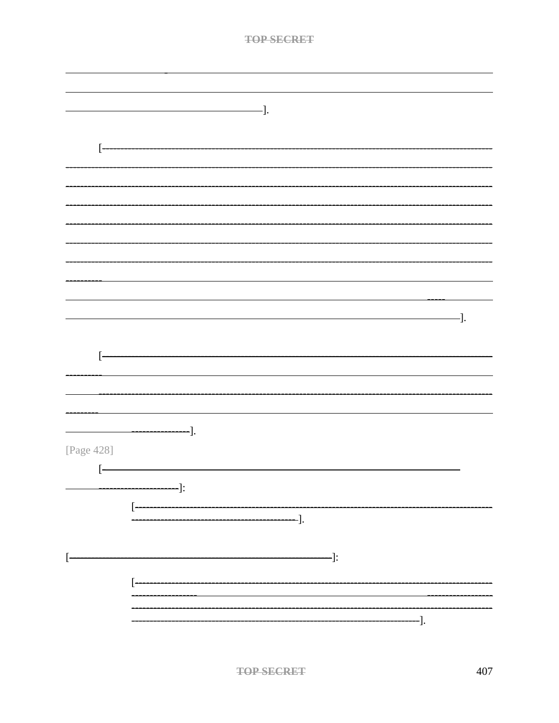|                   | <b>TOP SECRET</b>                                                                                                                                                                                                                                                                                                                                                                                                                             |     |
|-------------------|-----------------------------------------------------------------------------------------------------------------------------------------------------------------------------------------------------------------------------------------------------------------------------------------------------------------------------------------------------------------------------------------------------------------------------------------------|-----|
|                   |                                                                                                                                                                                                                                                                                                                                                                                                                                               |     |
|                   |                                                                                                                                                                                                                                                                                                                                                                                                                                               |     |
|                   |                                                                                                                                                                                                                                                                                                                                                                                                                                               |     |
|                   |                                                                                                                                                                                                                                                                                                                                                                                                                                               |     |
|                   | $\frac{1}{\sqrt{1-\frac{1}{2}}}\cdot\frac{1}{\sqrt{1-\frac{1}{2}}}\cdot\frac{1}{\sqrt{1-\frac{1}{2}}}\cdot\frac{1}{\sqrt{1-\frac{1}{2}}}\cdot\frac{1}{\sqrt{1-\frac{1}{2}}}\cdot\frac{1}{\sqrt{1-\frac{1}{2}}}\cdot\frac{1}{\sqrt{1-\frac{1}{2}}}\cdot\frac{1}{\sqrt{1-\frac{1}{2}}}\cdot\frac{1}{\sqrt{1-\frac{1}{2}}}\cdot\frac{1}{\sqrt{1-\frac{1}{2}}}\cdot\frac{1}{\sqrt{1-\frac{1}{2}}}\cdot\frac{1}{\sqrt{1-\frac{1}{2}}}\cdot\frac{1$ |     |
|                   |                                                                                                                                                                                                                                                                                                                                                                                                                                               |     |
| ŀ                 |                                                                                                                                                                                                                                                                                                                                                                                                                                               |     |
|                   |                                                                                                                                                                                                                                                                                                                                                                                                                                               |     |
|                   |                                                                                                                                                                                                                                                                                                                                                                                                                                               |     |
|                   |                                                                                                                                                                                                                                                                                                                                                                                                                                               |     |
|                   |                                                                                                                                                                                                                                                                                                                                                                                                                                               |     |
|                   |                                                                                                                                                                                                                                                                                                                                                                                                                                               |     |
|                   |                                                                                                                                                                                                                                                                                                                                                                                                                                               |     |
|                   |                                                                                                                                                                                                                                                                                                                                                                                                                                               |     |
|                   |                                                                                                                                                                                                                                                                                                                                                                                                                                               |     |
|                   |                                                                                                                                                                                                                                                                                                                                                                                                                                               |     |
|                   |                                                                                                                                                                                                                                                                                                                                                                                                                                               |     |
|                   |                                                                                                                                                                                                                                                                                                                                                                                                                                               | -]. |
|                   |                                                                                                                                                                                                                                                                                                                                                                                                                                               |     |
|                   |                                                                                                                                                                                                                                                                                                                                                                                                                                               |     |
| ŀ                 |                                                                                                                                                                                                                                                                                                                                                                                                                                               |     |
|                   |                                                                                                                                                                                                                                                                                                                                                                                                                                               |     |
|                   |                                                                                                                                                                                                                                                                                                                                                                                                                                               |     |
|                   |                                                                                                                                                                                                                                                                                                                                                                                                                                               |     |
|                   |                                                                                                                                                                                                                                                                                                                                                                                                                                               |     |
|                   |                                                                                                                                                                                                                                                                                                                                                                                                                                               |     |
| [Page 428]        |                                                                                                                                                                                                                                                                                                                                                                                                                                               |     |
| $\left[ -\right]$ |                                                                                                                                                                                                                                                                                                                                                                                                                                               |     |
| —————————]:       |                                                                                                                                                                                                                                                                                                                                                                                                                                               |     |
|                   |                                                                                                                                                                                                                                                                                                                                                                                                                                               |     |
| $[$               |                                                                                                                                                                                                                                                                                                                                                                                                                                               |     |
|                   |                                                                                                                                                                                                                                                                                                                                                                                                                                               |     |
|                   |                                                                                                                                                                                                                                                                                                                                                                                                                                               |     |
|                   |                                                                                                                                                                                                                                                                                                                                                                                                                                               |     |
|                   |                                                                                                                                                                                                                                                                                                                                                                                                                                               |     |
|                   |                                                                                                                                                                                                                                                                                                                                                                                                                                               |     |
|                   |                                                                                                                                                                                                                                                                                                                                                                                                                                               |     |
|                   | -].                                                                                                                                                                                                                                                                                                                                                                                                                                           |     |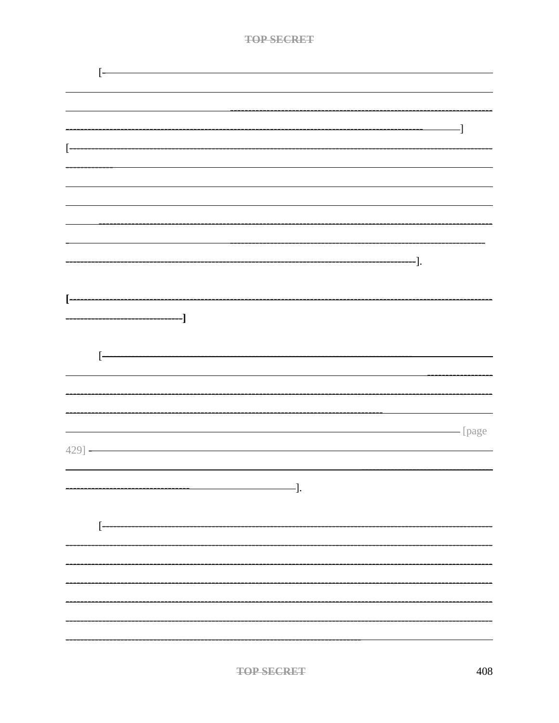|   | ŀ                                        |  |
|---|------------------------------------------|--|
|   |                                          |  |
|   |                                          |  |
|   |                                          |  |
|   | -]                                       |  |
|   |                                          |  |
| ŀ |                                          |  |
|   |                                          |  |
|   |                                          |  |
|   |                                          |  |
|   |                                          |  |
|   |                                          |  |
|   |                                          |  |
|   |                                          |  |
|   |                                          |  |
|   |                                          |  |
|   |                                          |  |
|   |                                          |  |
|   |                                          |  |
|   |                                          |  |
|   | ŀ                                        |  |
|   |                                          |  |
|   |                                          |  |
|   |                                          |  |
|   |                                          |  |
|   |                                          |  |
|   | <b>Example 1</b> Page                    |  |
|   | $-429$ ] $-$                             |  |
|   |                                          |  |
|   |                                          |  |
|   | $\overline{\phantom{iiiiiiiiiiiiiii}}$ . |  |
|   |                                          |  |
|   | $\left[ -\right]$                        |  |
|   |                                          |  |
|   |                                          |  |
|   |                                          |  |
|   |                                          |  |
|   |                                          |  |
|   |                                          |  |
|   |                                          |  |
|   |                                          |  |
|   |                                          |  |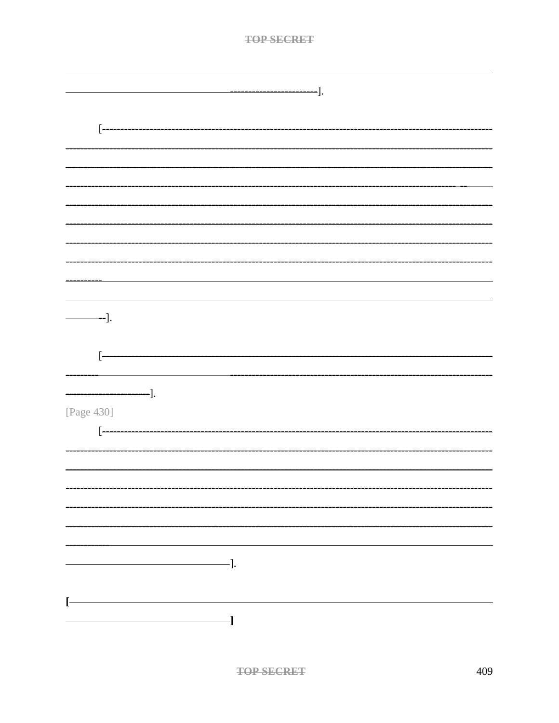| ı |  |
|---|--|
|   |  |

| $-\hspace{-.05in}-\hspace{-.05in}].$ |
|--------------------------------------|
|                                      |
| $[$                                  |
|                                      |
|                                      |
|                                      |
|                                      |
|                                      |
|                                      |
|                                      |
|                                      |
|                                      |
| -].                                  |
|                                      |
| $[$                                  |
|                                      |
|                                      |
| [Page 430]                           |
| $[ -$                                |
|                                      |
|                                      |
|                                      |
|                                      |
|                                      |
|                                      |
| $\overline{\phantom{a}}$ .           |
|                                      |
| $\mathsf{L}$                         |
|                                      |
|                                      |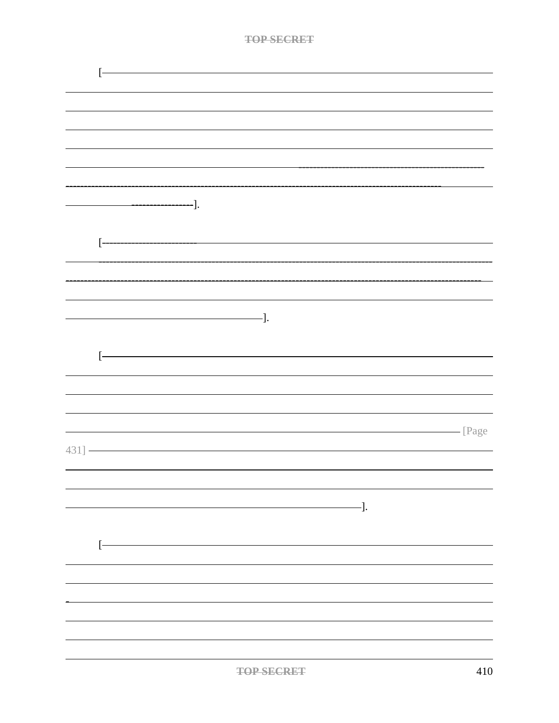| $T \cap D$ $C1$ | <b>LADET</b> |
|-----------------|--------------|
|                 |              |

|           | ŀ                               |  |
|-----------|---------------------------------|--|
|           |                                 |  |
|           |                                 |  |
|           |                                 |  |
|           |                                 |  |
|           |                                 |  |
|           |                                 |  |
|           |                                 |  |
|           |                                 |  |
|           |                                 |  |
|           |                                 |  |
|           | $\left[ -\right.$               |  |
|           |                                 |  |
|           |                                 |  |
|           |                                 |  |
|           |                                 |  |
|           | $\qquad \qquad \qquad -].$      |  |
|           |                                 |  |
|           | $\begin{bmatrix} \end{bmatrix}$ |  |
|           |                                 |  |
|           |                                 |  |
|           |                                 |  |
|           | Page                            |  |
|           |                                 |  |
| $431$ ] - |                                 |  |
|           |                                 |  |
|           |                                 |  |
|           | $\qquad \qquad \qquad -].$      |  |
|           |                                 |  |
|           |                                 |  |
|           | $[ -$                           |  |
|           |                                 |  |
|           |                                 |  |
|           |                                 |  |
|           |                                 |  |
|           |                                 |  |
|           |                                 |  |
|           |                                 |  |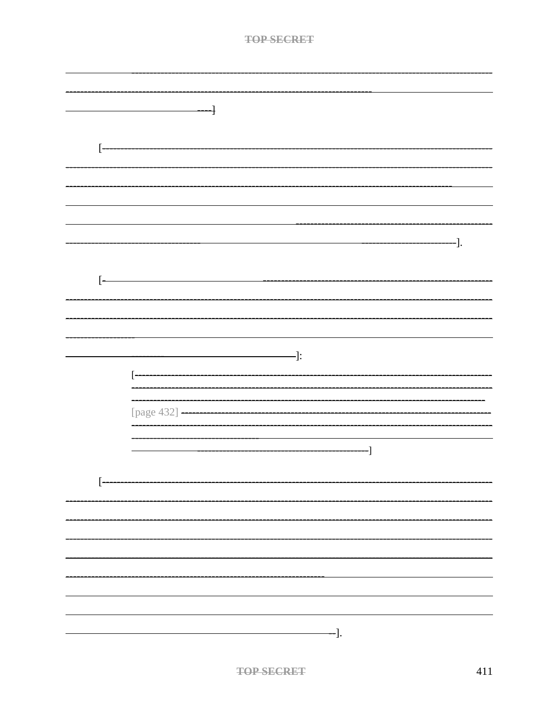| тор сесрет |  |
|------------|--|
| .          |  |

|     | ┨                     |                                                                                                                                                                                                                                                                                                                                                   |    |     |
|-----|-----------------------|---------------------------------------------------------------------------------------------------------------------------------------------------------------------------------------------------------------------------------------------------------------------------------------------------------------------------------------------------|----|-----|
|     |                       |                                                                                                                                                                                                                                                                                                                                                   |    |     |
|     |                       |                                                                                                                                                                                                                                                                                                                                                   |    |     |
| $[$ |                       |                                                                                                                                                                                                                                                                                                                                                   |    |     |
|     |                       |                                                                                                                                                                                                                                                                                                                                                   |    |     |
|     |                       |                                                                                                                                                                                                                                                                                                                                                   |    |     |
|     |                       |                                                                                                                                                                                                                                                                                                                                                   |    |     |
|     |                       |                                                                                                                                                                                                                                                                                                                                                   |    |     |
|     |                       |                                                                                                                                                                                                                                                                                                                                                   |    |     |
|     |                       |                                                                                                                                                                                                                                                                                                                                                   |    |     |
|     |                       |                                                                                                                                                                                                                                                                                                                                                   |    | ·]. |
|     |                       |                                                                                                                                                                                                                                                                                                                                                   |    |     |
| ŀ   |                       |                                                                                                                                                                                                                                                                                                                                                   |    |     |
|     |                       |                                                                                                                                                                                                                                                                                                                                                   |    |     |
|     |                       |                                                                                                                                                                                                                                                                                                                                                   |    |     |
|     |                       |                                                                                                                                                                                                                                                                                                                                                   |    |     |
|     |                       |                                                                                                                                                                                                                                                                                                                                                   |    |     |
|     |                       |                                                                                                                                                                                                                                                                                                                                                   |    |     |
|     |                       | $\qquad \qquad \qquad$ $\qquad$ $\qquad$ $\qquad$ $\qquad$ $\qquad$ $\qquad$ $\qquad$ $\qquad$ $\qquad$ $\qquad$ $\qquad$ $\qquad$ $\qquad$ $\qquad$ $\qquad$ $\qquad$ $\qquad$ $\qquad$ $\qquad$ $\qquad$ $\qquad$ $\qquad$ $\qquad$ $\qquad$ $\qquad$ $\qquad$ $\qquad$ $\qquad$ $\qquad$ $\qquad$ $\qquad$ $\qquad$ $\qquad$ $\qquad$ $\qquad$ |    |     |
|     | ŀ                     |                                                                                                                                                                                                                                                                                                                                                   |    |     |
|     |                       |                                                                                                                                                                                                                                                                                                                                                   |    |     |
|     |                       |                                                                                                                                                                                                                                                                                                                                                   |    |     |
|     | [page 432] ---------- |                                                                                                                                                                                                                                                                                                                                                   |    |     |
|     |                       |                                                                                                                                                                                                                                                                                                                                                   |    |     |
|     |                       |                                                                                                                                                                                                                                                                                                                                                   |    |     |
|     |                       |                                                                                                                                                                                                                                                                                                                                                   | -] |     |
|     |                       |                                                                                                                                                                                                                                                                                                                                                   |    |     |
| ŀ   |                       |                                                                                                                                                                                                                                                                                                                                                   |    |     |
|     |                       |                                                                                                                                                                                                                                                                                                                                                   |    |     |
|     |                       |                                                                                                                                                                                                                                                                                                                                                   |    |     |
|     |                       |                                                                                                                                                                                                                                                                                                                                                   |    |     |
|     |                       |                                                                                                                                                                                                                                                                                                                                                   |    |     |
|     |                       |                                                                                                                                                                                                                                                                                                                                                   |    |     |
|     |                       |                                                                                                                                                                                                                                                                                                                                                   |    |     |
|     |                       |                                                                                                                                                                                                                                                                                                                                                   |    |     |
|     |                       |                                                                                                                                                                                                                                                                                                                                                   |    |     |
|     |                       |                                                                                                                                                                                                                                                                                                                                                   |    |     |
|     |                       |                                                                                                                                                                                                                                                                                                                                                   |    |     |
|     |                       | <sup>--</sup> ].                                                                                                                                                                                                                                                                                                                                  |    |     |
|     |                       |                                                                                                                                                                                                                                                                                                                                                   |    |     |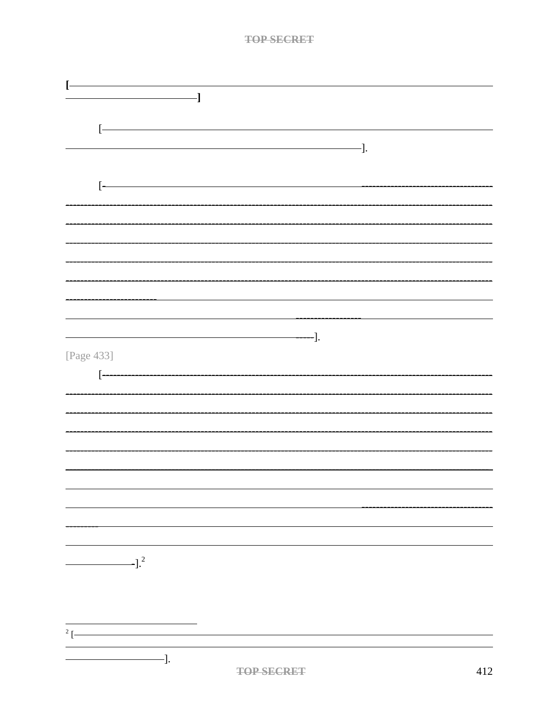|                        | $\overline{\phantom{a}}$   |                     |     |
|------------------------|----------------------------|---------------------|-----|
|                        |                            |                     |     |
|                        |                            |                     |     |
|                        |                            |                     |     |
|                        |                            | $\qquad \qquad -].$ |     |
|                        |                            |                     |     |
|                        |                            |                     |     |
| ŀ                      |                            |                     |     |
|                        |                            |                     |     |
|                        |                            |                     |     |
|                        |                            |                     |     |
|                        |                            |                     |     |
|                        |                            |                     |     |
|                        |                            |                     |     |
|                        |                            |                     |     |
|                        |                            |                     |     |
|                        |                            |                     |     |
|                        |                            |                     |     |
|                        | $\qquad \qquad \qquad -1.$ |                     |     |
| [Page 433]             |                            |                     |     |
|                        |                            |                     |     |
| $\left[ -\right]$      |                            |                     |     |
|                        |                            |                     |     |
|                        |                            |                     |     |
|                        |                            |                     |     |
|                        |                            |                     |     |
|                        |                            |                     |     |
|                        |                            |                     |     |
|                        |                            |                     |     |
|                        |                            |                     |     |
|                        |                            |                     |     |
|                        |                            |                     |     |
|                        |                            |                     |     |
|                        |                            |                     |     |
|                        |                            |                     |     |
| $\sim$ 1. <sup>2</sup> |                            |                     |     |
|                        |                            |                     |     |
|                        |                            |                     |     |
|                        |                            |                     |     |
|                        |                            |                     |     |
| $2$ [-                 |                            |                     |     |
|                        |                            |                     |     |
| $-$ ].                 |                            |                     |     |
|                        | <b>TOP SECRET</b>          |                     | 412 |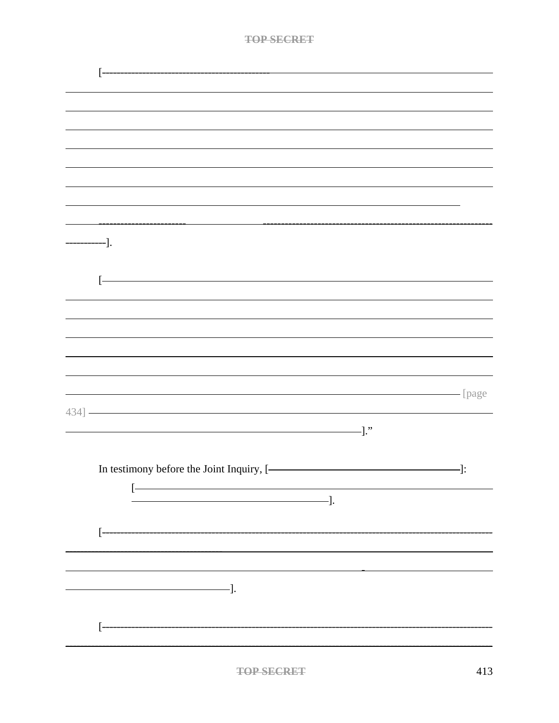| тор сесрет                |
|---------------------------|
| <b>A REVAILABLE AND A</b> |

| $-\$ ].                                   |                        |
|-------------------------------------------|------------------------|
|                                           |                        |
|                                           |                        |
| ŀ                                         |                        |
|                                           |                        |
|                                           |                        |
|                                           |                        |
|                                           |                        |
|                                           |                        |
|                                           | <b>CONFIDENT</b> [page |
|                                           |                        |
| $\hspace{1.5cm}$ ."                       |                        |
|                                           |                        |
|                                           |                        |
| In testimony before the Joint Inquiry, [- | $ \vdots$              |
| [-                                        |                        |
|                                           |                        |
| ŀ                                         |                        |
|                                           |                        |
|                                           |                        |
|                                           |                        |
| $\overline{\phantom{iiiiiiiiiiiiiii}}$ ]. |                        |
|                                           |                        |
| ŀ                                         |                        |
|                                           |                        |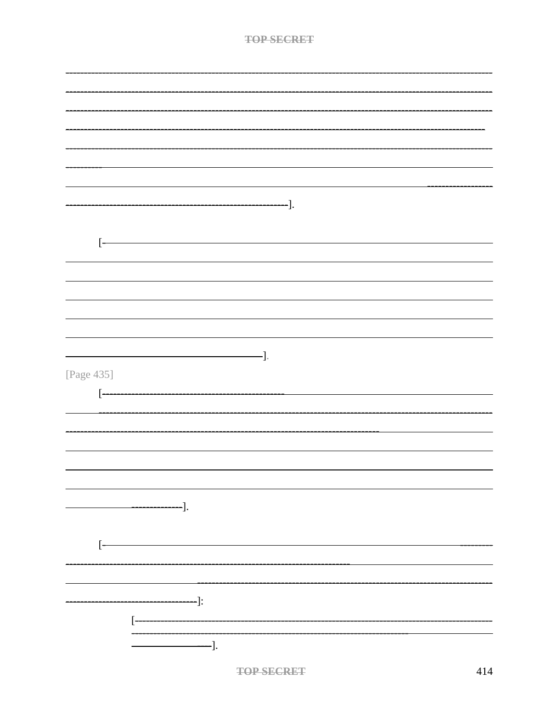| <b>TAD SECONT</b> |
|-------------------|
|                   |

| -].                                                                                                 |
|-----------------------------------------------------------------------------------------------------|
|                                                                                                     |
|                                                                                                     |
| Ľ                                                                                                   |
|                                                                                                     |
|                                                                                                     |
|                                                                                                     |
|                                                                                                     |
|                                                                                                     |
|                                                                                                     |
|                                                                                                     |
| $-$ ].                                                                                              |
| [Page 435]                                                                                          |
|                                                                                                     |
| $[$                                                                                                 |
|                                                                                                     |
|                                                                                                     |
|                                                                                                     |
|                                                                                                     |
|                                                                                                     |
|                                                                                                     |
|                                                                                                     |
|                                                                                                     |
|                                                                                                     |
| $\frac{1}{\sqrt{2\pi}}\left[\frac{1}{\sqrt{2\pi}}\right]^{2}\left[\frac{1}{\sqrt{2\pi}}\right]^{2}$ |
|                                                                                                     |
|                                                                                                     |
| $\begin{bmatrix} \end{bmatrix}$                                                                     |
|                                                                                                     |
|                                                                                                     |
|                                                                                                     |
| ——————————]:                                                                                        |
| $\begin{bmatrix} \cdot \end{bmatrix}$                                                               |
|                                                                                                     |
| $\qquad \qquad --].$                                                                                |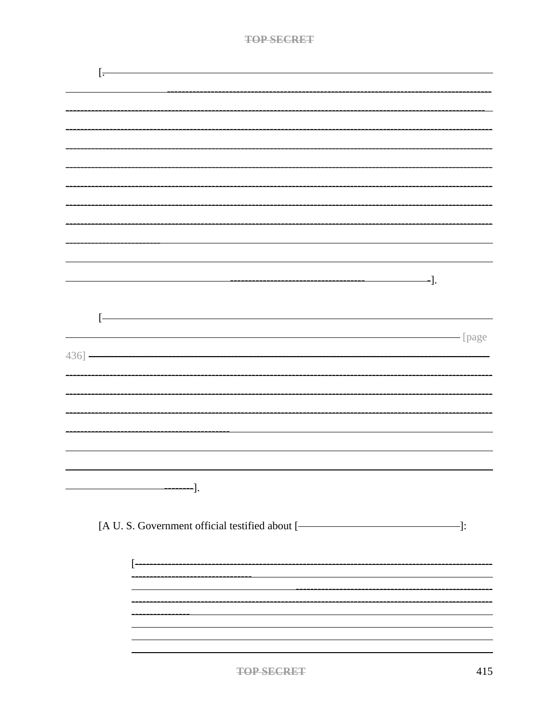| TAD SEADET |
|------------|
| .          |

|           | l٠                                                       |  |
|-----------|----------------------------------------------------------|--|
|           |                                                          |  |
|           |                                                          |  |
|           |                                                          |  |
|           |                                                          |  |
|           |                                                          |  |
|           |                                                          |  |
|           |                                                          |  |
|           |                                                          |  |
|           | -].                                                      |  |
|           |                                                          |  |
|           | ŀ                                                        |  |
| $436$ ] - | <b>Example 1</b> [page                                   |  |
|           |                                                          |  |
|           |                                                          |  |
|           |                                                          |  |
|           |                                                          |  |
|           |                                                          |  |
|           |                                                          |  |
|           |                                                          |  |
|           | [A U. S. Government official testified about [- [ [ ] ]: |  |
|           |                                                          |  |
|           |                                                          |  |
|           |                                                          |  |
|           |                                                          |  |
|           |                                                          |  |
|           |                                                          |  |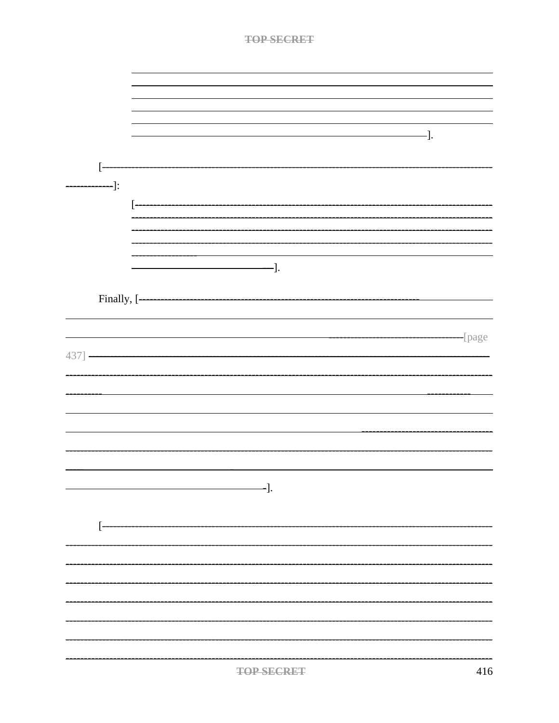|             |        |  |                                           | <b>TOP SECRET</b> |  |     |        |
|-------------|--------|--|-------------------------------------------|-------------------|--|-----|--------|
|             |        |  |                                           |                   |  |     |        |
|             |        |  |                                           |                   |  |     |        |
|             |        |  |                                           |                   |  |     |        |
|             |        |  |                                           |                   |  |     |        |
|             |        |  |                                           |                   |  |     |        |
|             |        |  |                                           |                   |  | -]. |        |
|             |        |  |                                           |                   |  |     |        |
|             |        |  |                                           |                   |  |     |        |
|             | $-$ ]: |  |                                           |                   |  |     |        |
|             |        |  |                                           |                   |  |     |        |
|             |        |  |                                           |                   |  |     |        |
|             |        |  |                                           |                   |  |     |        |
|             |        |  |                                           |                   |  |     |        |
|             |        |  |                                           |                   |  |     |        |
|             |        |  |                                           |                   |  |     |        |
|             |        |  |                                           |                   |  |     |        |
|             |        |  |                                           |                   |  |     |        |
|             |        |  |                                           |                   |  |     | -[page |
| $437$ ] $-$ |        |  |                                           |                   |  |     |        |
|             |        |  |                                           |                   |  |     |        |
|             |        |  |                                           |                   |  |     |        |
|             |        |  |                                           |                   |  |     |        |
|             |        |  |                                           |                   |  |     |        |
|             |        |  |                                           |                   |  |     |        |
|             |        |  |                                           |                   |  |     |        |
|             |        |  |                                           |                   |  |     |        |
|             |        |  | $\overline{\phantom{iiiiiiiiiiiiiii}}$ ]. |                   |  |     |        |
|             |        |  |                                           |                   |  |     |        |
|             | ŀ      |  |                                           |                   |  |     |        |
|             |        |  |                                           |                   |  |     |        |
|             |        |  |                                           |                   |  |     |        |
|             |        |  |                                           |                   |  |     |        |
|             |        |  |                                           |                   |  |     |        |
|             |        |  |                                           |                   |  |     |        |
|             |        |  |                                           |                   |  |     |        |
|             |        |  |                                           |                   |  |     |        |
|             |        |  |                                           |                   |  |     |        |
|             |        |  |                                           |                   |  |     |        |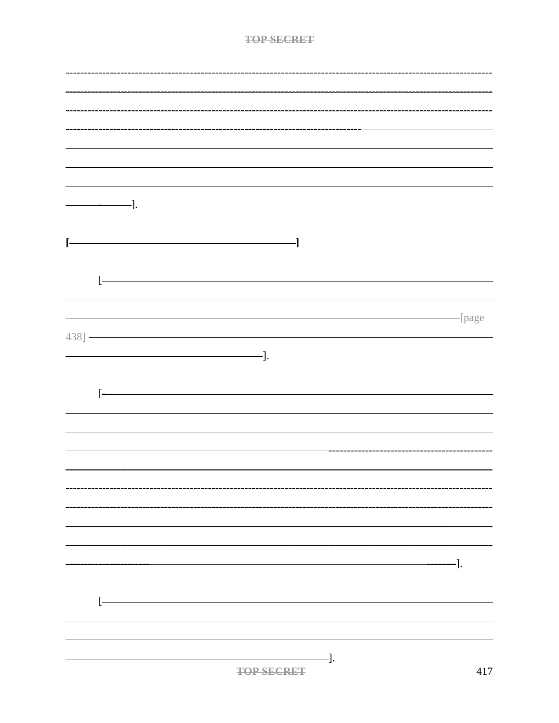|       | $\frac{1}{\sqrt{1-\frac{1}{2}}}\cdot\frac{1}{\sqrt{1-\frac{1}{2}}}\cdot\frac{1}{\sqrt{1-\frac{1}{2}}}\cdot\frac{1}{\sqrt{1-\frac{1}{2}}}\cdot\frac{1}{\sqrt{1-\frac{1}{2}}}\cdot\frac{1}{\sqrt{1-\frac{1}{2}}}\cdot\frac{1}{\sqrt{1-\frac{1}{2}}}\cdot\frac{1}{\sqrt{1-\frac{1}{2}}}\cdot\frac{1}{\sqrt{1-\frac{1}{2}}}\cdot\frac{1}{\sqrt{1-\frac{1}{2}}}\cdot\frac{1}{\sqrt{1-\frac{1}{2}}}\cdot\frac{1}{\sqrt{1-\frac{1}{2}}}\cdot\frac{1$                                                                                         |                                           |                          |     |
|-------|---------------------------------------------------------------------------------------------------------------------------------------------------------------------------------------------------------------------------------------------------------------------------------------------------------------------------------------------------------------------------------------------------------------------------------------------------------------------------------------------------------------------------------------|-------------------------------------------|--------------------------|-----|
| ŀ     |                                                                                                                                                                                                                                                                                                                                                                                                                                                                                                                                       | -]                                        |                          |     |
| $[ -$ |                                                                                                                                                                                                                                                                                                                                                                                                                                                                                                                                       |                                           |                          |     |
|       |                                                                                                                                                                                                                                                                                                                                                                                                                                                                                                                                       |                                           |                          |     |
|       | $\left. 438 \right] \xrightarrow{\phantom{xxxxxxxxxxxx} } \left. 438 \right] \xrightarrow{\phantom{xxxxxx} } \left. 438 \right] \xrightarrow{\phantom{xx} } \left. 438 \right] \xrightarrow{\phantom{xx} } \left. 438 \right] \xrightarrow{\phantom{xx} } \left. 438 \right] \xrightarrow{\phantom{xx} } \left. 438 \right] \xrightarrow{\phantom{xx} } \left. 438 \right] \xrightarrow{\phantom{xx} } \left. 438 \right] \xrightarrow{\phantom{xx} } \left. 438 \right] \xrightarrow{\phantom{xx} } \left. 438 \right] \xrightarrow$ |                                           | page                     |     |
|       | $\qquad \qquad \qquad -].$                                                                                                                                                                                                                                                                                                                                                                                                                                                                                                            |                                           |                          |     |
|       |                                                                                                                                                                                                                                                                                                                                                                                                                                                                                                                                       |                                           |                          |     |
| ŀ     |                                                                                                                                                                                                                                                                                                                                                                                                                                                                                                                                       |                                           |                          |     |
|       |                                                                                                                                                                                                                                                                                                                                                                                                                                                                                                                                       |                                           |                          |     |
|       |                                                                                                                                                                                                                                                                                                                                                                                                                                                                                                                                       |                                           |                          |     |
|       |                                                                                                                                                                                                                                                                                                                                                                                                                                                                                                                                       |                                           |                          |     |
|       |                                                                                                                                                                                                                                                                                                                                                                                                                                                                                                                                       |                                           |                          |     |
|       |                                                                                                                                                                                                                                                                                                                                                                                                                                                                                                                                       |                                           |                          |     |
|       |                                                                                                                                                                                                                                                                                                                                                                                                                                                                                                                                       |                                           | $\overline{\phantom{0}}$ | -]. |
|       |                                                                                                                                                                                                                                                                                                                                                                                                                                                                                                                                       |                                           |                          |     |
| ŀ     |                                                                                                                                                                                                                                                                                                                                                                                                                                                                                                                                       |                                           |                          |     |
|       |                                                                                                                                                                                                                                                                                                                                                                                                                                                                                                                                       |                                           |                          |     |
|       |                                                                                                                                                                                                                                                                                                                                                                                                                                                                                                                                       | $\longrightarrow$ ].<br><b>TOP SECRET</b> |                          | 417 |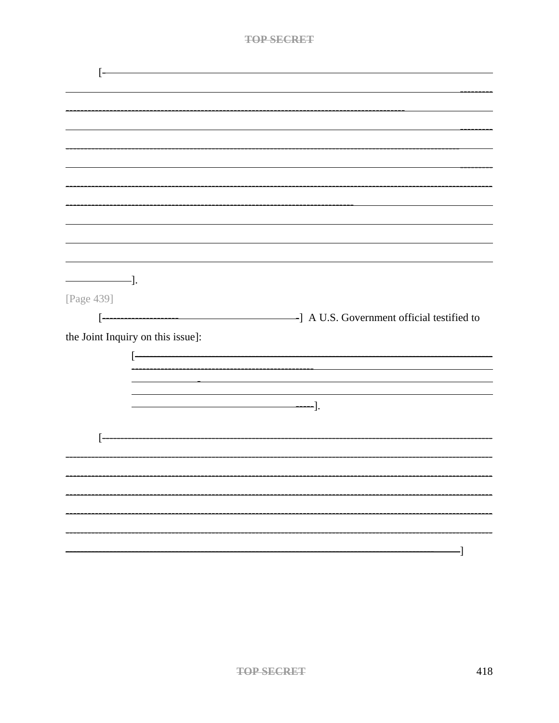| $\overline{\phantom{iiiiiiiiiiiiiiiii}}$ |                                                                                                                                                                                                                               |
|------------------------------------------|-------------------------------------------------------------------------------------------------------------------------------------------------------------------------------------------------------------------------------|
| [Page 439]                               |                                                                                                                                                                                                                               |
| $\lceil$ -                               |                                                                                                                                                                                                                               |
|                                          |                                                                                                                                                                                                                               |
| the Joint Inquiry on this issue]:        |                                                                                                                                                                                                                               |
|                                          |                                                                                                                                                                                                                               |
|                                          |                                                                                                                                                                                                                               |
|                                          | the control of the control of the control of the control of the control of the control of the control of the control of the control of the control of the control of the control of the control of the control of the control |
|                                          |                                                                                                                                                                                                                               |
|                                          |                                                                                                                                                                                                                               |
|                                          |                                                                                                                                                                                                                               |
|                                          |                                                                                                                                                                                                                               |
|                                          |                                                                                                                                                                                                                               |
|                                          |                                                                                                                                                                                                                               |
|                                          |                                                                                                                                                                                                                               |
|                                          |                                                                                                                                                                                                                               |
|                                          |                                                                                                                                                                                                                               |
|                                          |                                                                                                                                                                                                                               |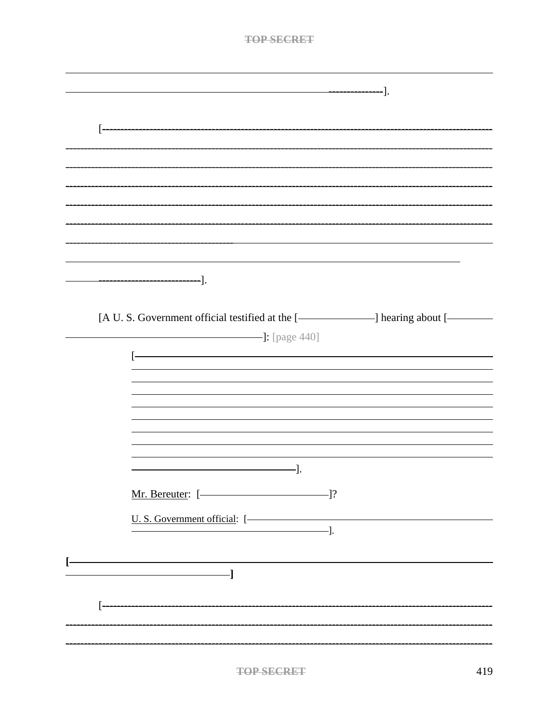| <b>TOP SECRET</b>                                                                                                                                                                                                              |
|--------------------------------------------------------------------------------------------------------------------------------------------------------------------------------------------------------------------------------|
|                                                                                                                                                                                                                                |
|                                                                                                                                                                                                                                |
| ------].                                                                                                                                                                                                                       |
|                                                                                                                                                                                                                                |
|                                                                                                                                                                                                                                |
|                                                                                                                                                                                                                                |
|                                                                                                                                                                                                                                |
|                                                                                                                                                                                                                                |
|                                                                                                                                                                                                                                |
|                                                                                                                                                                                                                                |
|                                                                                                                                                                                                                                |
|                                                                                                                                                                                                                                |
|                                                                                                                                                                                                                                |
|                                                                                                                                                                                                                                |
|                                                                                                                                                                                                                                |
|                                                                                                                                                                                                                                |
| [A U. S. Government official testified at the [- and all planes about [- and all planes are not all planes are not all planes are not all planes are not all planes are not all planes are not all planes are not all planes a |
| $\frac{1}{2}$ : [page 440]                                                                                                                                                                                                     |
| <u> 1989 - Johann Barn, mars ar breithinn ar chwaraeth a bhaile ann an 1964.</u><br>$\left\lceil -\right\rceil$                                                                                                                |
|                                                                                                                                                                                                                                |
|                                                                                                                                                                                                                                |
|                                                                                                                                                                                                                                |
|                                                                                                                                                                                                                                |
|                                                                                                                                                                                                                                |
|                                                                                                                                                                                                                                |
|                                                                                                                                                                                                                                |
| Mr. Bereuter: [- 139]                                                                                                                                                                                                          |
|                                                                                                                                                                                                                                |
| U. S. Government official: [-                                                                                                                                                                                                  |
|                                                                                                                                                                                                                                |
| <u> 1980 - Johann Barn, fransk politik (f. 1980)</u>                                                                                                                                                                           |
| <u> 1999 - Jan Samuel Barbara, politik a</u>                                                                                                                                                                                   |
|                                                                                                                                                                                                                                |
|                                                                                                                                                                                                                                |
|                                                                                                                                                                                                                                |
|                                                                                                                                                                                                                                |
|                                                                                                                                                                                                                                |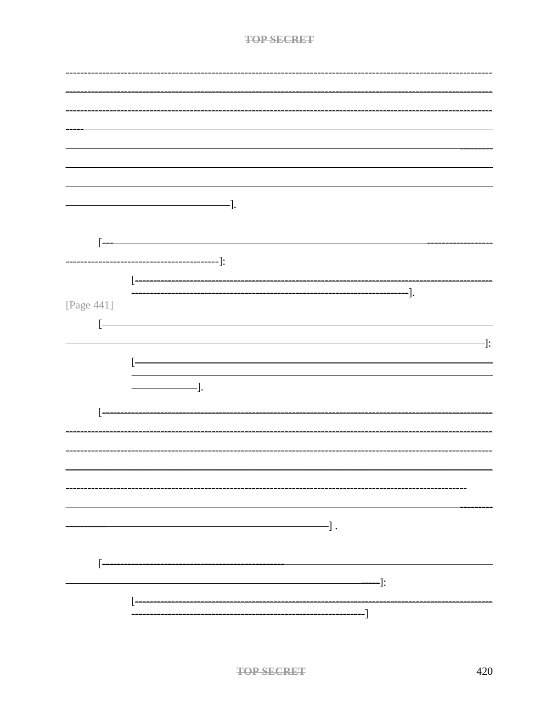|                   | $\frac{1}{\sqrt{1-\frac{1}{2}}}\cdot\frac{1}{\sqrt{1-\frac{1}{2}}}\cdot\frac{1}{\sqrt{1-\frac{1}{2}}}\cdot\frac{1}{\sqrt{1-\frac{1}{2}}}\cdot\frac{1}{\sqrt{1-\frac{1}{2}}}\cdot\frac{1}{\sqrt{1-\frac{1}{2}}}\cdot\frac{1}{\sqrt{1-\frac{1}{2}}}\cdot\frac{1}{\sqrt{1-\frac{1}{2}}}\cdot\frac{1}{\sqrt{1-\frac{1}{2}}}\cdot\frac{1}{\sqrt{1-\frac{1}{2}}}\cdot\frac{1}{\sqrt{1-\frac{1}{2}}}\cdot\frac{1}{\sqrt{1-\frac{1}{2}}}\cdot\frac{1$ |
|-------------------|-----------------------------------------------------------------------------------------------------------------------------------------------------------------------------------------------------------------------------------------------------------------------------------------------------------------------------------------------------------------------------------------------------------------------------------------------|
|                   |                                                                                                                                                                                                                                                                                                                                                                                                                                               |
|                   |                                                                                                                                                                                                                                                                                                                                                                                                                                               |
| ŀ                 |                                                                                                                                                                                                                                                                                                                                                                                                                                               |
|                   |                                                                                                                                                                                                                                                                                                                                                                                                                                               |
|                   | $\qquad \qquad \qquad \qquad \qquad \qquad \qquad \qquad \vdots$                                                                                                                                                                                                                                                                                                                                                                              |
|                   |                                                                                                                                                                                                                                                                                                                                                                                                                                               |
|                   | $\overline{[}$                                                                                                                                                                                                                                                                                                                                                                                                                                |
|                   | $\frac{1}{\sqrt{1-\frac{1}{2}}}\frac{1}{\sqrt{1-\frac{1}{2}}}\frac{1}{\sqrt{1-\frac{1}{2}}}\frac{1}{\sqrt{1-\frac{1}{2}}}\frac{1}{\sqrt{1-\frac{1}{2}}}\frac{1}{\sqrt{1-\frac{1}{2}}}\frac{1}{\sqrt{1-\frac{1}{2}}}\frac{1}{\sqrt{1-\frac{1}{2}}}\frac{1}{\sqrt{1-\frac{1}{2}}}\frac{1}{\sqrt{1-\frac{1}{2}}}\frac{1}{\sqrt{1-\frac{1}{2}}}\frac{1}{\sqrt{1-\frac{1}{2}}}\frac{1}{\sqrt{1-\frac{1}{2}}}\frac{1}{\sqrt{1-\frac{$               |
| [Page 441]        |                                                                                                                                                                                                                                                                                                                                                                                                                                               |
| $[ -$             |                                                                                                                                                                                                                                                                                                                                                                                                                                               |
|                   |                                                                                                                                                                                                                                                                                                                                                                                                                                               |
|                   | $\cdot$ ]:                                                                                                                                                                                                                                                                                                                                                                                                                                    |
|                   | ŀ                                                                                                                                                                                                                                                                                                                                                                                                                                             |
|                   |                                                                                                                                                                                                                                                                                                                                                                                                                                               |
|                   | $\qquad \qquad \qquad$ $\qquad$ $\qquad$ $\qquad$ $\qquad$ $\qquad$ $\qquad$ $\qquad$ $\qquad$ $\qquad$ $\qquad$ $\qquad$ $\qquad$ $\qquad$ $\qquad$ $\qquad$ $\qquad$ $\qquad$ $\qquad$ $\qquad$ $\qquad$ $\qquad$ $\qquad$ $\qquad$ $\qquad$ $\qquad$ $\qquad$ $\qquad$ $\qquad$ $\qquad$ $\qquad$ $\qquad$ $\qquad$ $\qquad$ $\qquad$ $\qquad$                                                                                             |
|                   |                                                                                                                                                                                                                                                                                                                                                                                                                                               |
|                   |                                                                                                                                                                                                                                                                                                                                                                                                                                               |
| Ŀ                 |                                                                                                                                                                                                                                                                                                                                                                                                                                               |
|                   |                                                                                                                                                                                                                                                                                                                                                                                                                                               |
|                   |                                                                                                                                                                                                                                                                                                                                                                                                                                               |
|                   |                                                                                                                                                                                                                                                                                                                                                                                                                                               |
|                   |                                                                                                                                                                                                                                                                                                                                                                                                                                               |
|                   |                                                                                                                                                                                                                                                                                                                                                                                                                                               |
|                   |                                                                                                                                                                                                                                                                                                                                                                                                                                               |
|                   |                                                                                                                                                                                                                                                                                                                                                                                                                                               |
|                   |                                                                                                                                                                                                                                                                                                                                                                                                                                               |
|                   | $\longrightarrow$ .                                                                                                                                                                                                                                                                                                                                                                                                                           |
|                   |                                                                                                                                                                                                                                                                                                                                                                                                                                               |
|                   |                                                                                                                                                                                                                                                                                                                                                                                                                                               |
| $\left[ -\right]$ |                                                                                                                                                                                                                                                                                                                                                                                                                                               |
|                   |                                                                                                                                                                                                                                                                                                                                                                                                                                               |
|                   | $\qquad \qquad \qquad \qquad \qquad \blacksquare$                                                                                                                                                                                                                                                                                                                                                                                             |
|                   | ŀ                                                                                                                                                                                                                                                                                                                                                                                                                                             |
|                   |                                                                                                                                                                                                                                                                                                                                                                                                                                               |
|                   |                                                                                                                                                                                                                                                                                                                                                                                                                                               |
|                   |                                                                                                                                                                                                                                                                                                                                                                                                                                               |
|                   |                                                                                                                                                                                                                                                                                                                                                                                                                                               |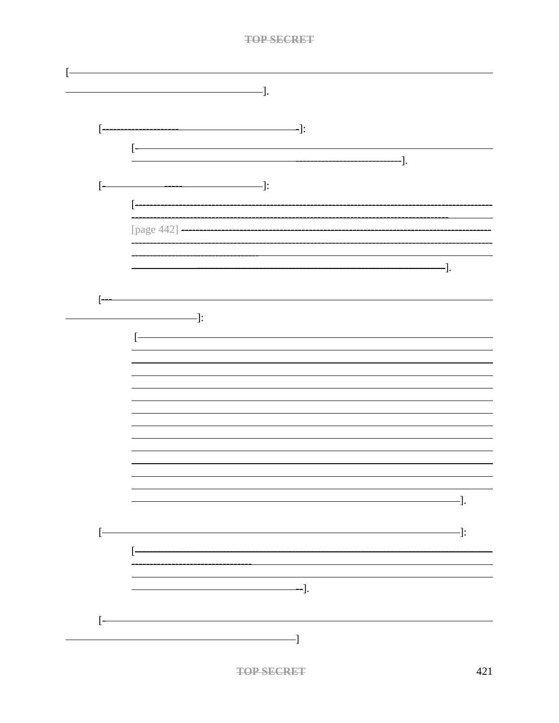|       | -].                                                                                                                                                                                                                                                                                                                                                                                                                              |
|-------|----------------------------------------------------------------------------------------------------------------------------------------------------------------------------------------------------------------------------------------------------------------------------------------------------------------------------------------------------------------------------------------------------------------------------------|
|       |                                                                                                                                                                                                                                                                                                                                                                                                                                  |
| ŀ     | $\longrightarrow$ $\vdots$                                                                                                                                                                                                                                                                                                                                                                                                       |
|       | ——].                                                                                                                                                                                                                                                                                                                                                                                                                             |
|       |                                                                                                                                                                                                                                                                                                                                                                                                                                  |
| $[ -$ |                                                                                                                                                                                                                                                                                                                                                                                                                                  |
|       | ŀ                                                                                                                                                                                                                                                                                                                                                                                                                                |
|       | [page 442] --                                                                                                                                                                                                                                                                                                                                                                                                                    |
|       |                                                                                                                                                                                                                                                                                                                                                                                                                                  |
|       | -].                                                                                                                                                                                                                                                                                                                                                                                                                              |
|       |                                                                                                                                                                                                                                                                                                                                                                                                                                  |
|       | $-\qquad \qquad \blacksquare$                                                                                                                                                                                                                                                                                                                                                                                                    |
|       |                                                                                                                                                                                                                                                                                                                                                                                                                                  |
|       |                                                                                                                                                                                                                                                                                                                                                                                                                                  |
|       |                                                                                                                                                                                                                                                                                                                                                                                                                                  |
|       |                                                                                                                                                                                                                                                                                                                                                                                                                                  |
|       |                                                                                                                                                                                                                                                                                                                                                                                                                                  |
|       |                                                                                                                                                                                                                                                                                                                                                                                                                                  |
|       |                                                                                                                                                                                                                                                                                                                                                                                                                                  |
|       |                                                                                                                                                                                                                                                                                                                                                                                                                                  |
|       |                                                                                                                                                                                                                                                                                                                                                                                                                                  |
|       | $\qquad \qquad \qquad -].$                                                                                                                                                                                                                                                                                                                                                                                                       |
|       | $\longrightarrow$ $\longrightarrow$ $\vdots$                                                                                                                                                                                                                                                                                                                                                                                     |
|       | $\begin{bmatrix} \mathbf{0} & \mathbf{0} & \mathbf{0} & \mathbf{0} & \mathbf{0} & \mathbf{0} & \mathbf{0} & \mathbf{0} & \mathbf{0} & \mathbf{0} & \mathbf{0} & \mathbf{0} & \mathbf{0} & \mathbf{0} & \mathbf{0} & \mathbf{0} & \mathbf{0} & \mathbf{0} & \mathbf{0} & \mathbf{0} & \mathbf{0} & \mathbf{0} & \mathbf{0} & \mathbf{0} & \mathbf{0} & \mathbf{0} & \mathbf{0} & \mathbf{0} & \mathbf{0} & \mathbf{0} & \mathbf{$ |
|       |                                                                                                                                                                                                                                                                                                                                                                                                                                  |
|       | $\overline{\phantom{a}}$ .                                                                                                                                                                                                                                                                                                                                                                                                       |
|       |                                                                                                                                                                                                                                                                                                                                                                                                                                  |
| ŀ     |                                                                                                                                                                                                                                                                                                                                                                                                                                  |
|       | $\overline{\phantom{iiiiiiiiiiiiiiiii}}$                                                                                                                                                                                                                                                                                                                                                                                         |
|       |                                                                                                                                                                                                                                                                                                                                                                                                                                  |